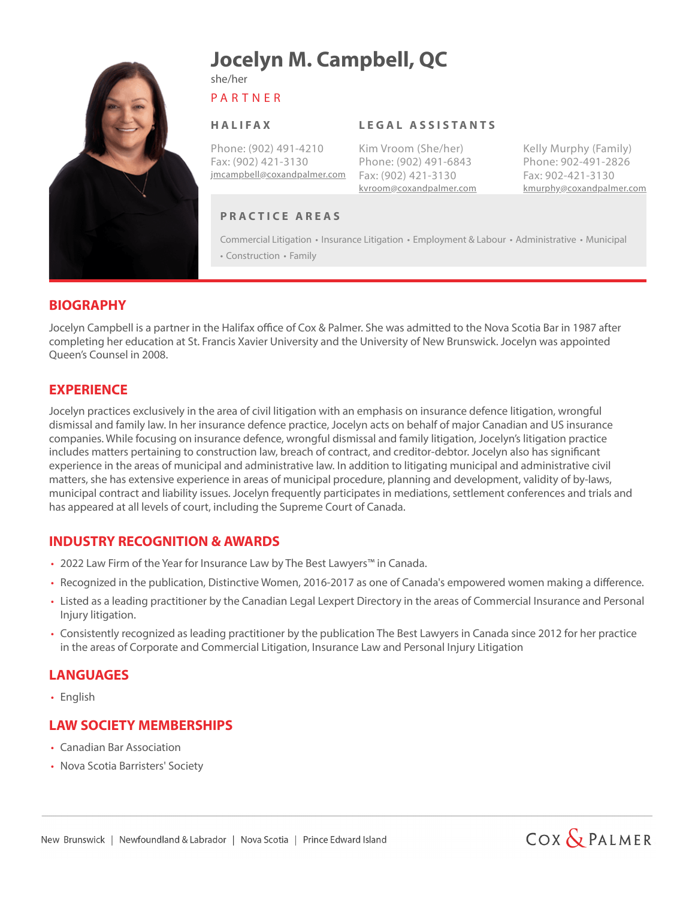

# **Jocelyn M. Campbell, QC**

P A R T N E R

she/her

#### **H A L I FA X**

Phone: (902) 491-4210 Fax: (902) 421-3130 jmcampbell@coxandpalmer.com Fax: (902) 421-3130

#### **L E G A L A S S I S TA N T S**

Kim Vroom (She/her) Phone: (902) 491-6843 kvroom@coxandpalmer.com kmurphy@coxandpalmer.com

Kelly Murphy (Family) Phone: 902-491-2826 Fax: 902-421-3130

#### **P R A C T I C E A R E A S**

Commercial Litigation • Insurance Litigation • Employment & Labour • Administrative • Municipal • Construction • Family

#### **BIOGRAPHY**

Jocelyn Campbell is a partner in the Halifax office of Cox & Palmer. She was admitted to the Nova Scotia Bar in 1987 after completing her education at St. Francis Xavier University and the University of New Brunswick. Jocelyn was appointed Queen's Counsel in 2008.

## **EXPERIENCE**

Jocelyn practices exclusively in the area of civil litigation with an emphasis on insurance defence litigation, wrongful dismissal and family law. In her insurance defence practice, Jocelyn acts on behalf of major Canadian and US insurance companies. While focusing on insurance defence, wrongful dismissal and family litigation, Jocelyn's litigation practice includes matters pertaining to construction law, breach of contract, and creditor-debtor. Jocelyn also has significant experience in the areas of municipal and administrative law. In addition to litigating municipal and administrative civil matters, she has extensive experience in areas of municipal procedure, planning and development, validity of by-laws, municipal contract and liability issues. Jocelyn frequently participates in mediations, settlement conferences and trials and has appeared at all levels of court, including the Supreme Court of Canada.

## **INDUSTRY RECOGNITION & AWARDS**

- 2022 Law Firm of the Year for Insurance Law by The Best Lawyers™ in Canada.
- Recognized in the publication, Distinctive Women, 2016-2017 as one of Canada's empowered women making a difference.
- Listed as a leading practitioner by the Canadian Legal Lexpert Directory in the areas of Commercial Insurance and Personal Injury litigation.
- Consistently recognized as leading practitioner by the publication The Best Lawyers in Canada since 2012 for her practice in the areas of Corporate and Commercial Litigation, Insurance Law and Personal Injury Litigation

#### **LANGUAGES**

• English

# **LAW SOCIETY MEMBERSHIPS**

- Canadian Bar Association
- Nova Scotia Barristers' Society